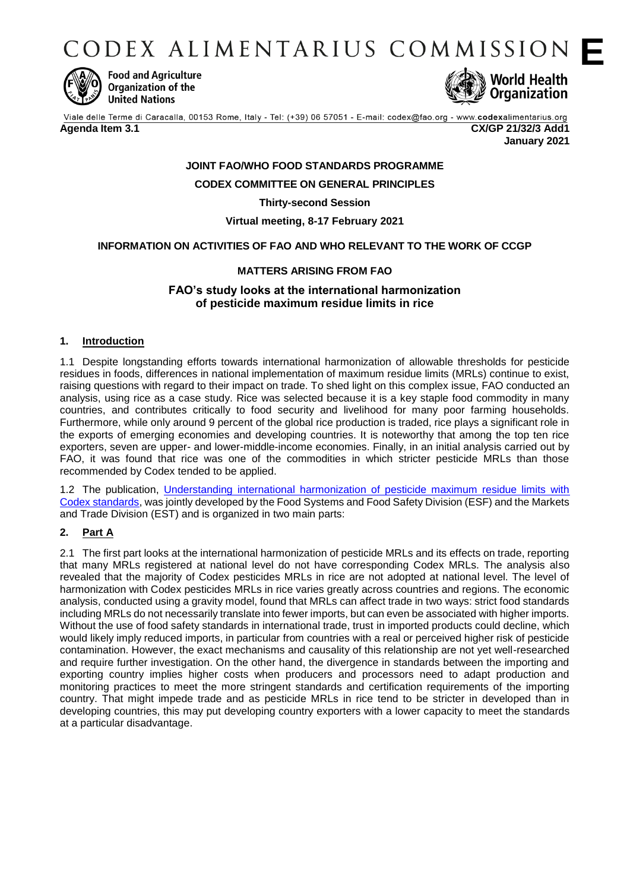CODEX ALIMENTARIUS COMMISSION



**Food and Agriculture** Organization of the **United Nations** 



Viale delle Terme di Caracalla, 00153 Rome, Italy - Tel: (+39) 06 57051 - E-mail: codex@fao.org - www.codexalimentarius.org **Agenda Item 3.1 CX/GP 21/32/3 Add1**

**January 2021**

# **JOINT FAO/WHO FOOD STANDARDS PROGRAMME**

**CODEX COMMITTEE ON GENERAL PRINCIPLES**

**Thirty-second Session**

**Virtual meeting, 8-17 February 2021**

## **INFORMATION ON ACTIVITIES OF FAO AND WHO RELEVANT TO THE WORK OF CCGP**

## **MATTERS ARISING FROM FAO**

### **FAO's study looks at the international harmonization of pesticide maximum residue limits in rice**

#### **1. Introduction**

1.1 Despite longstanding efforts towards international harmonization of allowable thresholds for pesticide residues in foods, differences in national implementation of maximum residue limits (MRLs) continue to exist, raising questions with regard to their impact on trade. To shed light on this complex issue, FAO conducted an analysis, using rice as a case study. Rice was selected because it is a key staple food commodity in many countries, and contributes critically to food security and livelihood for many poor farming households. Furthermore, while only around 9 percent of the global rice production is traded, rice plays a significant role in the exports of emerging economies and developing countries. It is noteworthy that among the top ten rice exporters, seven are upper- and lower-middle-income economies. Finally, in an initial analysis carried out by FAO, it was found that rice was one of the commodities in which stricter pesticide MRLs than those recommended by Codex tended to be applied.

1.2 The publication, [Understanding international harmonization of pesticide maximum residue limits with](https://doi.org/10.4060/cb0463en)  [Codex standards,](https://doi.org/10.4060/cb0463en) was jointly developed by the Food Systems and Food Safety Division (ESF) and the Markets and Trade Division (EST) and is organized in two main parts:

#### **2. Part A**

2.1 The first part looks at the international harmonization of pesticide MRLs and its effects on trade, reporting that many MRLs registered at national level do not have corresponding Codex MRLs. The analysis also revealed that the majority of Codex pesticides MRLs in rice are not adopted at national level. The level of harmonization with Codex pesticides MRLs in rice varies greatly across countries and regions. The economic analysis, conducted using a gravity model, found that MRLs can affect trade in two ways: strict food standards including MRLs do not necessarily translate into fewer imports, but can even be associated with higher imports. Without the use of food safety standards in international trade, trust in imported products could decline, which would likely imply reduced imports, in particular from countries with a real or perceived higher risk of pesticide contamination. However, the exact mechanisms and causality of this relationship are not yet well-researched and require further investigation. On the other hand, the divergence in standards between the importing and exporting country implies higher costs when producers and processors need to adapt production and monitoring practices to meet the more stringent standards and certification requirements of the importing country. That might impede trade and as pesticide MRLs in rice tend to be stricter in developed than in developing countries, this may put developing country exporters with a lower capacity to meet the standards at a particular disadvantage.